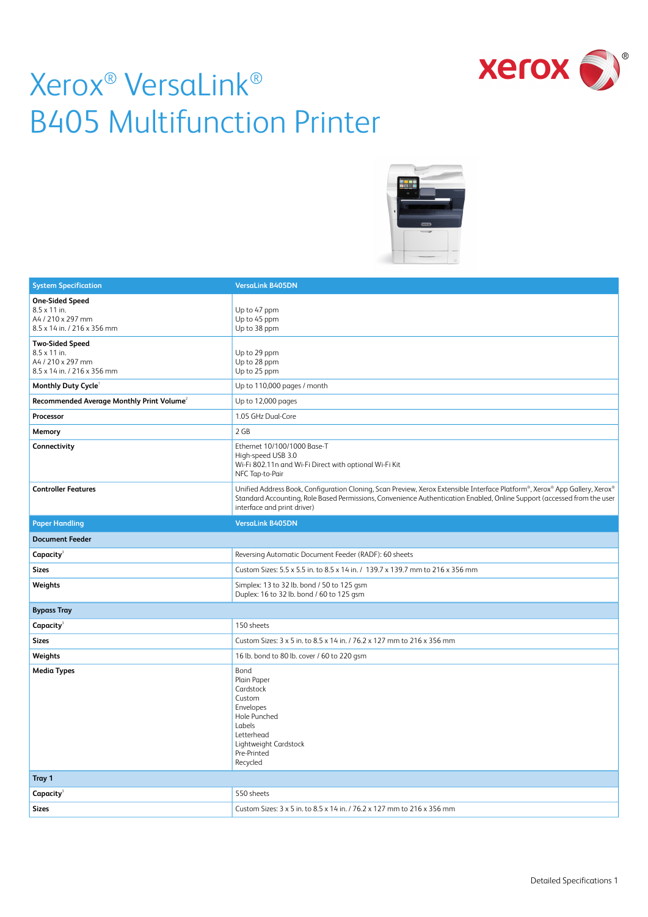



| <b>System Specification</b>                                                                | <b>VersaLink B405DN</b>                                                                                                                                                                                                                                                               |  |  |
|--------------------------------------------------------------------------------------------|---------------------------------------------------------------------------------------------------------------------------------------------------------------------------------------------------------------------------------------------------------------------------------------|--|--|
| <b>One-Sided Speed</b><br>8.5 x 11 in.<br>A4 / 210 x 297 mm<br>8.5 x 14 in. / 216 x 356 mm | Up to 47 ppm<br>Up to 45 ppm<br>Up to 38 ppm                                                                                                                                                                                                                                          |  |  |
| <b>Two-Sided Speed</b><br>8.5 x 11 in.<br>A4 / 210 x 297 mm<br>8.5 x 14 in. / 216 x 356 mm | Up to 29 ppm<br>Up to 28 ppm<br>Up to 25 ppm                                                                                                                                                                                                                                          |  |  |
| Monthly Duty Cycle                                                                         | Up to 110,000 pages / month                                                                                                                                                                                                                                                           |  |  |
| Recommended Average Monthly Print Volume <sup>2</sup>                                      | Up to 12,000 pages                                                                                                                                                                                                                                                                    |  |  |
| Processor                                                                                  | 1.05 GHz Dual-Core                                                                                                                                                                                                                                                                    |  |  |
| Memory                                                                                     | 2 GB                                                                                                                                                                                                                                                                                  |  |  |
| Connectivity                                                                               | Ethernet 10/100/1000 Base-T<br>High-speed USB 3.0<br>Wi-Fi 802.11n and Wi-Fi Direct with optional Wi-Fi Kit<br>NFC Tap-to-Pair                                                                                                                                                        |  |  |
| <b>Controller Features</b>                                                                 | Unified Address Book, Configuration Cloning, Scan Preview, Xerox Extensible Interface Platform®, Xerox® App Gallery, Xerox®<br>Standard Accounting, Role Based Permissions, Convenience Authentication Enabled, Online Support (accessed from the user<br>interface and print driver) |  |  |
| <b>Paper Handling</b>                                                                      | <b>VersaLink B405DN</b>                                                                                                                                                                                                                                                               |  |  |
| <b>Document Feeder</b>                                                                     |                                                                                                                                                                                                                                                                                       |  |  |
| Capacity                                                                                   | Reversing Automatic Document Feeder (RADF): 60 sheets                                                                                                                                                                                                                                 |  |  |
| <b>Sizes</b>                                                                               | Custom Sizes: 5.5 x 5.5 in. to 8.5 x 14 in. / 139.7 x 139.7 mm to 216 x 356 mm                                                                                                                                                                                                        |  |  |
| Weights                                                                                    | Simplex: 13 to 32 lb. bond / 50 to 125 gsm<br>Duplex: 16 to 32 lb. bond / 60 to 125 gsm                                                                                                                                                                                               |  |  |
| <b>Bypass Tray</b>                                                                         |                                                                                                                                                                                                                                                                                       |  |  |
| Capacity                                                                                   | 150 sheets                                                                                                                                                                                                                                                                            |  |  |
| <b>Sizes</b>                                                                               | Custom Sizes: 3 x 5 in. to 8.5 x 14 in. / 76.2 x 127 mm to 216 x 356 mm                                                                                                                                                                                                               |  |  |
| Weights                                                                                    | 16 lb. bond to 80 lb. cover / 60 to 220 gsm                                                                                                                                                                                                                                           |  |  |
| <b>Media Types</b>                                                                         | Bond<br>Plain Paper<br>Cardstock<br>Custom<br>Envelopes<br>Hole Punched<br>Labels<br>Letterhead<br>Lightweight Cardstock<br>Pre-Printed<br>Recycled                                                                                                                                   |  |  |
| Tray 1                                                                                     |                                                                                                                                                                                                                                                                                       |  |  |
| Capacity <sup>3</sup>                                                                      | 550 sheets                                                                                                                                                                                                                                                                            |  |  |
| <b>Sizes</b>                                                                               | Custom Sizes: 3 x 5 in. to 8.5 x 14 in. / 76.2 x 127 mm to 216 x 356 mm                                                                                                                                                                                                               |  |  |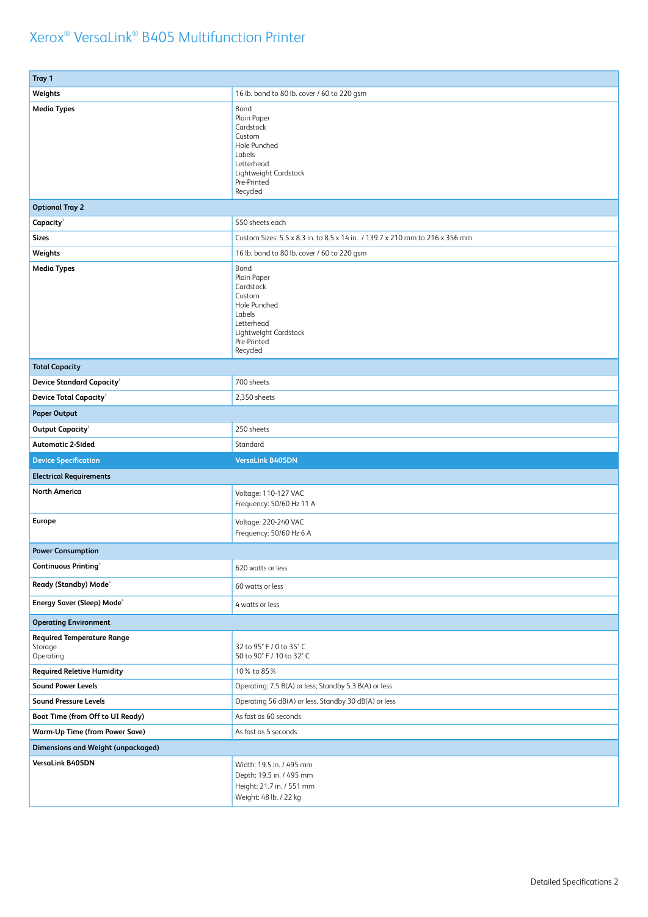| Tray 1                                                               |                                                                                                                                        |  |  |
|----------------------------------------------------------------------|----------------------------------------------------------------------------------------------------------------------------------------|--|--|
| Weights                                                              | 16 lb. bond to 80 lb. cover / 60 to 220 gsm                                                                                            |  |  |
| <b>Media Types</b>                                                   | Bond<br>Plain Paper<br>Cardstock<br>Custom<br>Hole Punched<br>Labels<br>Letterhead<br>Lightweight Cardstock<br>Pre-Printed<br>Recycled |  |  |
| <b>Optional Tray 2</b>                                               |                                                                                                                                        |  |  |
| Capacity <sup>3</sup>                                                | 550 sheets each                                                                                                                        |  |  |
| <b>Sizes</b>                                                         | Custom Sizes: 5.5 x 8.3 in. to 8.5 x 14 in. / 139.7 x 210 mm to 216 x 356 mm                                                           |  |  |
| Weights                                                              | 16 lb. bond to 80 lb. cover / 60 to 220 gsm                                                                                            |  |  |
| <b>Media Types</b>                                                   | Bond<br>Plain Paper<br>Cardstock<br>Custom<br>Hole Punched<br>Labels<br>Letterhead<br>Lightweight Cardstock<br>Pre-Printed<br>Recycled |  |  |
| <b>Total Capacity</b>                                                |                                                                                                                                        |  |  |
| <b>Device Standard Capacity<sup>3</sup></b>                          | 700 sheets                                                                                                                             |  |  |
| <b>Device Total Capacity<sup>3</sup></b>                             | 2,350 sheets                                                                                                                           |  |  |
| <b>Paper Output</b>                                                  |                                                                                                                                        |  |  |
| Output Capacity <sup>3</sup>                                         | 250 sheets                                                                                                                             |  |  |
| <b>Automatic 2-Sided</b>                                             | Standard                                                                                                                               |  |  |
| <b>Device Specification</b>                                          | <b>VersaLink B405DN</b>                                                                                                                |  |  |
| <b>Electrical Requirements</b>                                       |                                                                                                                                        |  |  |
| <b>North America</b>                                                 | Voltage: 110-127 VAC<br>Frequency: 50/60 Hz 11 A                                                                                       |  |  |
| <b>Europe</b>                                                        | Voltage: 220-240 VAC<br>Frequency: 50/60 Hz 6 A                                                                                        |  |  |
|                                                                      |                                                                                                                                        |  |  |
| <b>Power Consumption</b>                                             |                                                                                                                                        |  |  |
| Continuous Printing <sup>4</sup>                                     | 620 watts or less                                                                                                                      |  |  |
| Ready (Standby) Mode <sup>4</sup>                                    | 60 watts or less                                                                                                                       |  |  |
| Energy Saver (Sleep) Mode <sup>4</sup>                               | 4 watts or less                                                                                                                        |  |  |
| <b>Operating Environment</b>                                         |                                                                                                                                        |  |  |
| <b>Required Temperature Range</b><br>Storage<br>Operating            | 32 to 95° F / 0 to 35° C<br>50 to 90° F / 10 to 32° C                                                                                  |  |  |
| <b>Required Reletive Humidity</b>                                    | 10% to 85%                                                                                                                             |  |  |
| <b>Sound Power Levels</b>                                            | Operating: 7.5 B(A) or less; Standby 5.3 B(A) or less                                                                                  |  |  |
| <b>Sound Pressure Levels</b>                                         | Operating 56 dB(A) or less, Standby 30 dB(A) or less                                                                                   |  |  |
| Boot Time (from Off to UI Ready)                                     | As fast as 60 seconds                                                                                                                  |  |  |
| <b>Warm-Up Time (from Power Save)</b>                                | As fast as 5 seconds                                                                                                                   |  |  |
| <b>Dimensions and Weight (unpackaged)</b><br><b>VersaLink B405DN</b> | Width: 19.5 in. / 495 mm                                                                                                               |  |  |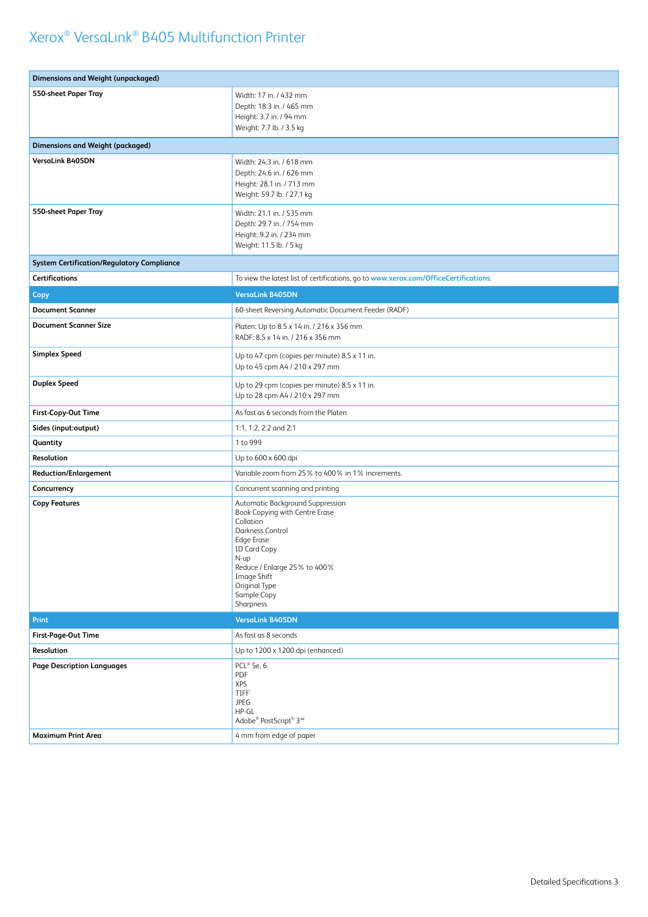| <b>Dimensions and Weight (unpackaged)</b>         |                                                                                                                                                                                                                                                     |  |  |  |
|---------------------------------------------------|-----------------------------------------------------------------------------------------------------------------------------------------------------------------------------------------------------------------------------------------------------|--|--|--|
| 550-sheet Paper Tray                              | Width: 17 in. / 432 mm<br>Depth: 18.3 in. / 465 mm<br>Height: 3.7 in. / 94 mm<br>Weight: 7.7 lb. / 3.5 kg                                                                                                                                           |  |  |  |
| <b>Dimensions and Weight (packaged)</b>           |                                                                                                                                                                                                                                                     |  |  |  |
| VersaLink B405DN                                  | Width: 24.3 in. / 618 mm<br>Depth: 24.6 in. / 626 mm<br>Height: 28.1 in. / 713 mm<br>Weight: 59.7 lb. / 27.1 kg                                                                                                                                     |  |  |  |
| 550-sheet Paper Tray                              | Width: 21.1 in. / 535 mm<br>Depth: 29.7 in. / 754 mm<br>Height: 9.2 in. / 234 mm<br>Weight: 11.5 lb. / 5 kg                                                                                                                                         |  |  |  |
| <b>System Certification/Regulatory Compliance</b> |                                                                                                                                                                                                                                                     |  |  |  |
| <b>Certifications</b>                             | To view the latest list of certifications, go to www.xerox.com/OfficeCertifications.                                                                                                                                                                |  |  |  |
| <b>Copy</b>                                       | <b>VersaLink B405DN</b>                                                                                                                                                                                                                             |  |  |  |
| <b>Document Scanner</b>                           | 60-sheet Reversing Automatic Document Feeder (RADF)                                                                                                                                                                                                 |  |  |  |
| <b>Document Scanner Size</b>                      | Platen: Up to 8.5 x 14 in. / 216 x 356 mm<br>RADF: 8.5 x 14 in. / 216 x 356 mm                                                                                                                                                                      |  |  |  |
| <b>Simplex Speed</b>                              | Up to 47 cpm (copies per minute) 8.5 x 11 in.<br>Up to 45 cpm A4 / 210 x 297 mm                                                                                                                                                                     |  |  |  |
| <b>Duplex Speed</b>                               | Up to 29 cpm (copies per minute) 8.5 x 11 in.<br>Up to 28 cpm A4 / 210 x 297 mm                                                                                                                                                                     |  |  |  |
| First-Copy-Out Time                               | As fast as 6 seconds from the Platen                                                                                                                                                                                                                |  |  |  |
| Sides (input:output)                              | 1:1, 1:2, 2:2 and 2:1                                                                                                                                                                                                                               |  |  |  |
| Quantity                                          | 1 to 999                                                                                                                                                                                                                                            |  |  |  |
| Resolution                                        | Up to 600 x 600 dpi                                                                                                                                                                                                                                 |  |  |  |
| <b>Reduction/Enlargement</b>                      | Variable zoom from 25% to 400% in 1% increments.                                                                                                                                                                                                    |  |  |  |
| Concurrency                                       | Concurrent scanning and printing                                                                                                                                                                                                                    |  |  |  |
| <b>Copy Features</b>                              | Automatic Background Suppression<br>Book Copying with Centre Erase<br>Collation<br>Darkness Control<br><b>Edge Erase</b><br><b>ID Card Copy</b><br>N-up<br>Reduce / Enlarge 25% to 400%<br>Image Shift<br>Original Type<br>Sample Copy<br>Sharpness |  |  |  |
| <b>Print</b>                                      | <b>VersaLink B405DN</b>                                                                                                                                                                                                                             |  |  |  |
| First-Page-Out Time                               | As fast as 8 seconds                                                                                                                                                                                                                                |  |  |  |
| Resolution                                        | Up to 1200 x 1200 dpi (enhanced)                                                                                                                                                                                                                    |  |  |  |
| <b>Page Description Languages</b>                 | PCL® 5e, 6<br>PDF<br><b>XPS</b><br>TIFF<br>JPEG<br>HP-GL<br>Adobe® PostScript® 3™                                                                                                                                                                   |  |  |  |
| <b>Maximum Print Area</b>                         | 4 mm from edge of paper                                                                                                                                                                                                                             |  |  |  |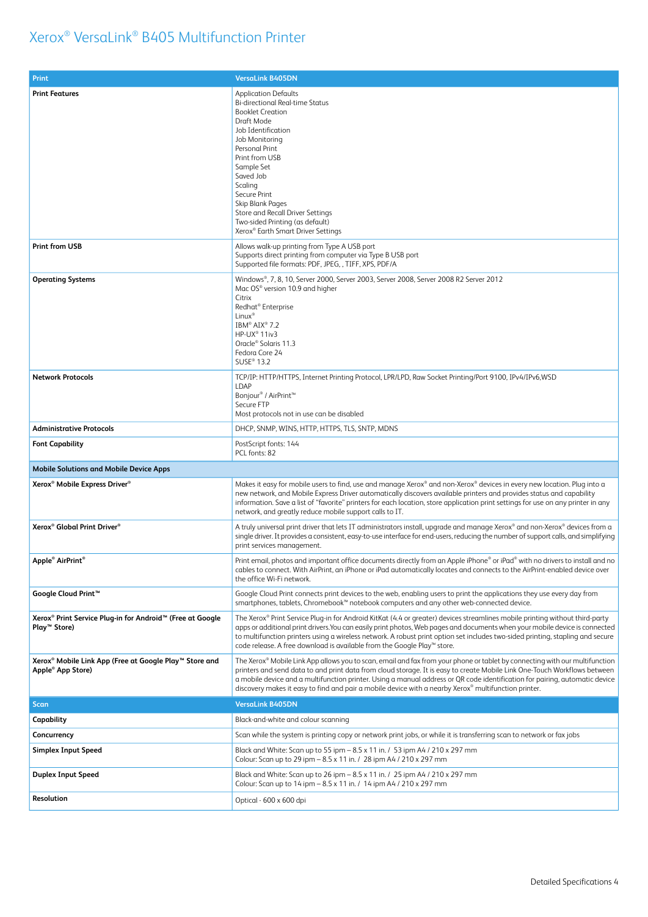| Print                                                                                   | <b>VersaLink B405DN</b>                                                                                                                                                                                                                                                                                                                                                                                                                                                                         |  |
|-----------------------------------------------------------------------------------------|-------------------------------------------------------------------------------------------------------------------------------------------------------------------------------------------------------------------------------------------------------------------------------------------------------------------------------------------------------------------------------------------------------------------------------------------------------------------------------------------------|--|
| <b>Print Features</b>                                                                   | <b>Application Defaults</b><br><b>Bi-directional Real-time Status</b><br><b>Booklet Creation</b><br>Draft Mode<br>Job Identification<br>Job Monitoring<br>Personal Print<br>Print from USB<br>Sample Set<br>Saved Job<br>Scaling<br>Secure Print<br>Skip Blank Pages<br>Store and Recall Driver Settings<br>Two-sided Printing (as default)<br>Xerox <sup>®</sup> Earth Smart Driver Settings                                                                                                   |  |
| <b>Print from USB</b>                                                                   | Allows walk-up printing from Type A USB port<br>Supports direct printing from computer via Type B USB port<br>Supported file formats: PDF, JPEG, , TIFF, XPS, PDF/A                                                                                                                                                                                                                                                                                                                             |  |
| <b>Operating Systems</b>                                                                | Windows®, 7, 8, 10, Server 2000, Server 2003, Server 2008, Server 2008 R2 Server 2012<br>Mac OS® version 10.9 and higher<br>Citrix<br>Redhat <sup>®</sup> Enterprise<br>$Linux^{\circ}$<br>IBM® AIX® 7.2<br>HP-UX <sup>®</sup> 11iv3<br>Oracle® Solaris 11.3<br>Fedora Core 24<br>SUSE <sup>®</sup> 13.2                                                                                                                                                                                        |  |
| <b>Network Protocols</b>                                                                | TCP/IP: HTTP/HTTPS, Internet Printing Protocol, LPR/LPD, Raw Socket Printing/Port 9100, IPv4/IPv6,WSD<br>LDAP<br>Bonjour® / AirPrint™<br>Secure FTP<br>Most protocols not in use can be disabled                                                                                                                                                                                                                                                                                                |  |
| <b>Administrative Protocols</b>                                                         | DHCP, SNMP, WINS, HTTP, HTTPS, TLS, SNTP, MDNS                                                                                                                                                                                                                                                                                                                                                                                                                                                  |  |
| <b>Font Capability</b>                                                                  | PostScript fonts: 144<br>PCL fonts: 82                                                                                                                                                                                                                                                                                                                                                                                                                                                          |  |
| <b>Mobile Solutions and Mobile Device Apps</b>                                          |                                                                                                                                                                                                                                                                                                                                                                                                                                                                                                 |  |
| Xerox <sup>®</sup> Mobile Express Driver <sup>®</sup>                                   | Makes it easy for mobile users to find, use and manage Xerox® and non-Xerox® devices in every new location. Plug into a<br>new network, and Mobile Express Driver automatically discovers available printers and provides status and capability<br>information. Save a list of "favorite" printers for each location, store application print settings for use on any printer in any<br>network, and greatly reduce mobile support calls to IT.                                                 |  |
| Xerox <sup>®</sup> Global Print Driver <sup>®</sup>                                     | A truly universal print driver that lets IT administrators install, upgrade and manage Xerox® and non-Xerox® devices from a<br>single driver. It provides a consistent, easy-to-use interface for end-users, reducing the number of support calls, and simplifying<br>print services management.                                                                                                                                                                                                |  |
| Apple <sup>®</sup> AirPrint <sup>®</sup>                                                | Print email, photos and important office documents directly from an Apple iPhone® or iPad® with no drivers to install and no<br>cables to connect. With AirPrint, an iPhone or iPad automatically locates and connects to the AirPrint-enabled device over<br>the office Wi-Fi network.                                                                                                                                                                                                         |  |
| Google Cloud Print™                                                                     | Google Cloud Print connects print devices to the web, enabling users to print the applications they use every day from<br>smartphones, tablets, Chromebook™ notebook computers and any other web-connected device.                                                                                                                                                                                                                                                                              |  |
| Xerox® Print Service Plug-in for Android™ (Free at Google<br>Play <sup>™</sup> Store)   | The Xerox® Print Service Plug-in for Android KitKat (4.4 or greater) devices streamlines mobile printing without third-party<br>apps or additional print drivers. You can easily print photos, Web pages and documents when your mobile device is connected<br>to multifunction printers using a wireless network. A robust print option set includes two-sided printing, stapling and secure<br>code release. A free download is available from the Google Play™ store.                        |  |
| Xerox® Mobile Link App (Free at Google Play™ Store and<br>Apple <sup>®</sup> App Store) | The Xerox® Mobile Link App allows you to scan, email and fax from your phone or tablet by connecting with our multifunction<br>printers and send data to and print data from cloud storage. It is easy to create Mobile Link One-Touch Workflows between<br>a mobile device and a multifunction printer. Using a manual address or QR code identification for pairing, automatic device<br>discovery makes it easy to find and pair a mobile device with a nearby Xerox® multifunction printer. |  |
| <b>Scan</b>                                                                             | <b>VersaLink B405DN</b>                                                                                                                                                                                                                                                                                                                                                                                                                                                                         |  |
| Capability                                                                              | Black-and-white and colour scanning                                                                                                                                                                                                                                                                                                                                                                                                                                                             |  |
| Concurrency                                                                             | Scan while the system is printing copy or network print jobs, or while it is transferring scan to network or fax jobs                                                                                                                                                                                                                                                                                                                                                                           |  |
| Simplex Input Speed                                                                     | Black and White: Scan up to 55 ipm - 8.5 x 11 in. / 53 ipm A4 / 210 x 297 mm<br>Colour: Scan up to 29 ipm - 8.5 x 11 in. / 28 ipm A4 / 210 x 297 mm                                                                                                                                                                                                                                                                                                                                             |  |
| <b>Duplex Input Speed</b>                                                               | Black and White: Scan up to 26 ipm - 8.5 x 11 in. / 25 ipm A4 / 210 x 297 mm<br>Colour: Scan up to 14 ipm - 8.5 x 11 in. / 14 ipm A4 / 210 x 297 mm                                                                                                                                                                                                                                                                                                                                             |  |
| Resolution                                                                              | Optical - 600 x 600 dpi                                                                                                                                                                                                                                                                                                                                                                                                                                                                         |  |
|                                                                                         |                                                                                                                                                                                                                                                                                                                                                                                                                                                                                                 |  |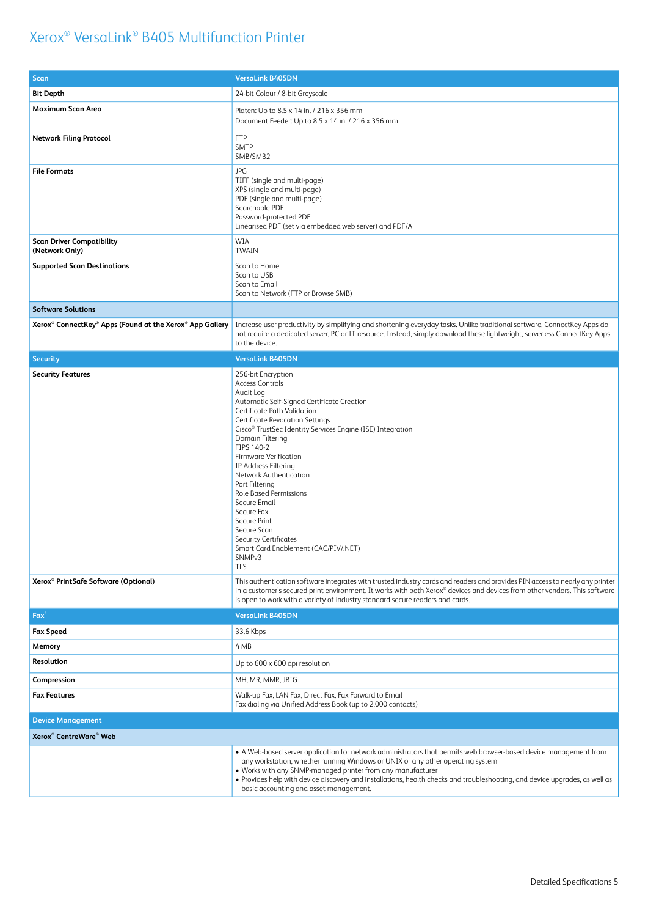| <b>Scan</b>                                                                                  | <b>VersaLink B405DN</b>                                                                                                                                                                                                                                                                                                                                                                                                                                                                                                                                                                             |  |
|----------------------------------------------------------------------------------------------|-----------------------------------------------------------------------------------------------------------------------------------------------------------------------------------------------------------------------------------------------------------------------------------------------------------------------------------------------------------------------------------------------------------------------------------------------------------------------------------------------------------------------------------------------------------------------------------------------------|--|
| <b>Bit Depth</b>                                                                             | 24-bit Colour / 8-bit Greyscale                                                                                                                                                                                                                                                                                                                                                                                                                                                                                                                                                                     |  |
| Maximum Scan Area                                                                            | Platen: Up to 8.5 x 14 in. / 216 x 356 mm<br>Document Feeder: Up to 8.5 x 14 in. / 216 x 356 mm                                                                                                                                                                                                                                                                                                                                                                                                                                                                                                     |  |
| <b>Network Filing Protocol</b>                                                               | <b>FTP</b><br><b>SMTP</b><br>SMB/SMB2                                                                                                                                                                                                                                                                                                                                                                                                                                                                                                                                                               |  |
| <b>File Formats</b>                                                                          | JPG<br>TIFF (single and multi-page)<br>XPS (single and multi-page)<br>PDF (single and multi-page)<br>Searchable PDF<br>Password-protected PDF<br>Linearised PDF (set via embedded web server) and PDF/A                                                                                                                                                                                                                                                                                                                                                                                             |  |
| <b>Scan Driver Compatibility</b><br>(Network Only)                                           | WIA<br><b>TWAIN</b>                                                                                                                                                                                                                                                                                                                                                                                                                                                                                                                                                                                 |  |
| <b>Supported Scan Destinations</b>                                                           | Scan to Home<br>Scan to USB<br>Scan to Email<br>Scan to Network (FTP or Browse SMB)                                                                                                                                                                                                                                                                                                                                                                                                                                                                                                                 |  |
| <b>Software Solutions</b>                                                                    |                                                                                                                                                                                                                                                                                                                                                                                                                                                                                                                                                                                                     |  |
| Xerox <sup>®</sup> ConnectKey <sup>®</sup> Apps (Found at the Xerox <sup>®</sup> App Gallery | Increase user productivity by simplifying and shortening everyday tasks. Unlike traditional software, ConnectKey Apps do<br>not require a dedicated server, PC or IT resource. Instead, simply download these lightweight, serverless ConnectKey Apps<br>to the device.                                                                                                                                                                                                                                                                                                                             |  |
| <b>Security</b>                                                                              | <b>VersaLink B405DN</b>                                                                                                                                                                                                                                                                                                                                                                                                                                                                                                                                                                             |  |
| <b>Security Features</b>                                                                     | 256-bit Encryption<br><b>Access Controls</b><br>Audit Log<br>Automatic Self-Signed Certificate Creation<br>Certificate Path Validation<br><b>Certificate Revocation Settings</b><br>Cisco <sup>®</sup> TrustSec Identity Services Engine (ISE) Integration<br>Domain Filtering<br>FIPS 140-2<br><b>Firmware Verification</b><br>IP Address Filtering<br>Network Authentication<br>Port Filtering<br>Role Based Permissions<br>Secure Email<br>Secure Fax<br>Secure Print<br>Secure Scan<br><b>Security Certificates</b><br>Smart Card Enablement (CAC/PIV/.NET)<br>SNMP <sub>v3</sub><br><b>TLS</b> |  |
| Xerox <sup>®</sup> PrintSafe Software (Optional)                                             | This authentication software integrates with trusted industry cards and readers and provides PIN access to nearly any printer<br>in a customer's secured print environment. It works with both Xerox® devices and devices from other vendors. This software<br>is open to work with a variety of industry standard secure readers and cards.                                                                                                                                                                                                                                                        |  |
| $Fax^5$                                                                                      | <b>VersaLink B405DN</b>                                                                                                                                                                                                                                                                                                                                                                                                                                                                                                                                                                             |  |
| <b>Fax Speed</b>                                                                             | 33.6 Kbps                                                                                                                                                                                                                                                                                                                                                                                                                                                                                                                                                                                           |  |
| Memory                                                                                       | 4 MB                                                                                                                                                                                                                                                                                                                                                                                                                                                                                                                                                                                                |  |
| Resolution                                                                                   | Up to 600 x 600 dpi resolution                                                                                                                                                                                                                                                                                                                                                                                                                                                                                                                                                                      |  |
| Compression                                                                                  | MH, MR, MMR, JBIG                                                                                                                                                                                                                                                                                                                                                                                                                                                                                                                                                                                   |  |
| <b>Fax Features</b>                                                                          | Walk-up Fax, LAN Fax, Direct Fax, Fax Forward to Email<br>Fax dialing via Unified Address Book (up to 2,000 contacts)                                                                                                                                                                                                                                                                                                                                                                                                                                                                               |  |
| <b>Device Management</b>                                                                     |                                                                                                                                                                                                                                                                                                                                                                                                                                                                                                                                                                                                     |  |
| Xerox <sup>®</sup> CentreWare <sup>®</sup> Web                                               |                                                                                                                                                                                                                                                                                                                                                                                                                                                                                                                                                                                                     |  |
|                                                                                              | • A Web-based server application for network administrators that permits web browser-based device management from<br>any workstation, whether running Windows or UNIX or any other operating system<br>. Works with any SNMP-managed printer from any manufacturer<br>. Provides help with device discovery and installations, health checks and troubleshooting, and device upgrades, as well as<br>basic accounting and asset management.                                                                                                                                                         |  |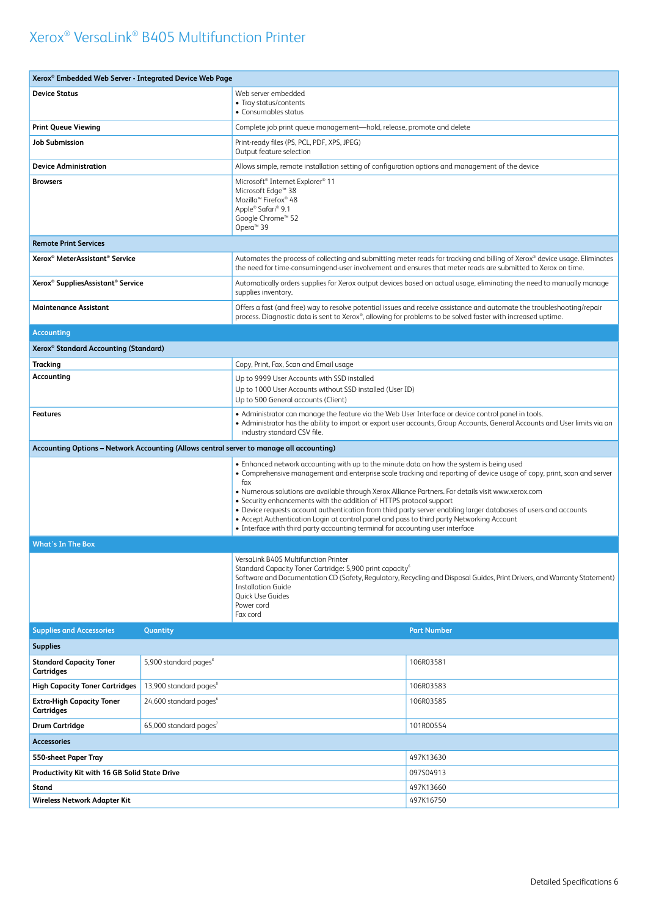| Xerox <sup>®</sup> Embedded Web Server - Integrated Device Web Page                                                                                                                                                                                                                 |                                    |                                                                                                                                                                                                                                                                                                                                                                                                                                                                                                                                                                                                                                                                                                            |                    |  |
|-------------------------------------------------------------------------------------------------------------------------------------------------------------------------------------------------------------------------------------------------------------------------------------|------------------------------------|------------------------------------------------------------------------------------------------------------------------------------------------------------------------------------------------------------------------------------------------------------------------------------------------------------------------------------------------------------------------------------------------------------------------------------------------------------------------------------------------------------------------------------------------------------------------------------------------------------------------------------------------------------------------------------------------------------|--------------------|--|
| <b>Device Status</b>                                                                                                                                                                                                                                                                |                                    | Web server embedded<br>• Tray status/contents<br>• Consumables status                                                                                                                                                                                                                                                                                                                                                                                                                                                                                                                                                                                                                                      |                    |  |
| <b>Print Queue Viewing</b>                                                                                                                                                                                                                                                          |                                    | Complete job print queue management-hold, release, promote and delete                                                                                                                                                                                                                                                                                                                                                                                                                                                                                                                                                                                                                                      |                    |  |
| <b>Job Submission</b>                                                                                                                                                                                                                                                               |                                    | Print-ready files (PS, PCL, PDF, XPS, JPEG)<br>Output feature selection                                                                                                                                                                                                                                                                                                                                                                                                                                                                                                                                                                                                                                    |                    |  |
| <b>Device Administration</b>                                                                                                                                                                                                                                                        |                                    | Allows simple, remote installation setting of configuration options and management of the device                                                                                                                                                                                                                                                                                                                                                                                                                                                                                                                                                                                                           |                    |  |
| <b>Browsers</b>                                                                                                                                                                                                                                                                     |                                    | Microsoft <sup>®</sup> Internet Explorer <sup>®</sup> 11<br>Microsoft Edge <sup>™</sup> 38<br>Mozilla <sup>™</sup> Firefox <sup>®</sup> 48<br>Apple® Safari® 9.1<br>Google Chrome™ 52<br>Opera <sup>™</sup> 39                                                                                                                                                                                                                                                                                                                                                                                                                                                                                             |                    |  |
| <b>Remote Print Services</b>                                                                                                                                                                                                                                                        |                                    |                                                                                                                                                                                                                                                                                                                                                                                                                                                                                                                                                                                                                                                                                                            |                    |  |
| Xerox <sup>®</sup> MeterAssistant <sup>®</sup> Service                                                                                                                                                                                                                              |                                    | Automates the process of collecting and submitting meter reads for tracking and billing of Xerox® device usage. Eliminates<br>the need for time-consumingend-user involvement and ensures that meter reads are submitted to Xerox on time.                                                                                                                                                                                                                                                                                                                                                                                                                                                                 |                    |  |
| Xerox <sup>®</sup> SuppliesAssistant <sup>®</sup> Service                                                                                                                                                                                                                           |                                    | Automatically orders supplies for Xerox output devices based on actual usage, eliminating the need to manually manage<br>supplies inventory.                                                                                                                                                                                                                                                                                                                                                                                                                                                                                                                                                               |                    |  |
| Offers a fast (and free) way to resolve potential issues and receive assistance and automate the troubleshooting/repair<br><b>Maintenance Assistant</b><br>process. Diagnostic data is sent to Xerox®, allowing for problems to be solved faster with increased uptime.             |                                    |                                                                                                                                                                                                                                                                                                                                                                                                                                                                                                                                                                                                                                                                                                            |                    |  |
| <b>Accounting</b>                                                                                                                                                                                                                                                                   |                                    |                                                                                                                                                                                                                                                                                                                                                                                                                                                                                                                                                                                                                                                                                                            |                    |  |
| Xerox <sup>®</sup> Standard Accounting (Standard)                                                                                                                                                                                                                                   |                                    |                                                                                                                                                                                                                                                                                                                                                                                                                                                                                                                                                                                                                                                                                                            |                    |  |
| Tracking                                                                                                                                                                                                                                                                            |                                    | Copy, Print, Fax, Scan and Email usage                                                                                                                                                                                                                                                                                                                                                                                                                                                                                                                                                                                                                                                                     |                    |  |
| Accounting                                                                                                                                                                                                                                                                          |                                    | Up to 9999 User Accounts with SSD installed<br>Up to 1000 User Accounts without SSD installed (User ID)<br>Up to 500 General accounts (Client)                                                                                                                                                                                                                                                                                                                                                                                                                                                                                                                                                             |                    |  |
| • Administrator can manage the feature via the Web User Interface or device control panel in tools.<br><b>Features</b><br>• Administrator has the ability to import or export user accounts, Group Accounts, General Accounts and User limits via an<br>industry standard CSV file. |                                    |                                                                                                                                                                                                                                                                                                                                                                                                                                                                                                                                                                                                                                                                                                            |                    |  |
| Accounting Options - Network Accounting (Allows central server to manage all accounting)                                                                                                                                                                                            |                                    |                                                                                                                                                                                                                                                                                                                                                                                                                                                                                                                                                                                                                                                                                                            |                    |  |
|                                                                                                                                                                                                                                                                                     |                                    | • Enhanced network accounting with up to the minute data on how the system is being used<br>• Comprehensive management and enterprise scale tracking and reporting of device usage of copy, print, scan and server<br>fax<br>. Numerous solutions are available through Xerox Alliance Partners. For details visit www.xerox.com<br>• Security enhancements with the addition of HTTPS protocol support<br>• Device requests account authentication from third party server enabling larger databases of users and accounts<br>• Accept Authentication Login at control panel and pass to third party Networking Account<br>• Interface with third party accounting terminal for accounting user interface |                    |  |
| <b>What's In The Box</b>                                                                                                                                                                                                                                                            |                                    |                                                                                                                                                                                                                                                                                                                                                                                                                                                                                                                                                                                                                                                                                                            |                    |  |
| VersaLink B405 Multifunction Printer<br>Standard Capacity Toner Cartridge: 5,900 print capacity <sup>6</sup><br><b>Installation Guide</b><br>Quick Use Guides<br>Power cord<br>Fax cord                                                                                             |                                    | Software and Documentation CD (Safety, Regulatory, Recycling and Disposal Guides, Print Drivers, and Warranty Statement)                                                                                                                                                                                                                                                                                                                                                                                                                                                                                                                                                                                   |                    |  |
| <b>Supplies and Accessories</b>                                                                                                                                                                                                                                                     | Quantity                           |                                                                                                                                                                                                                                                                                                                                                                                                                                                                                                                                                                                                                                                                                                            | <b>Part Number</b> |  |
| <b>Supplies</b>                                                                                                                                                                                                                                                                     |                                    |                                                                                                                                                                                                                                                                                                                                                                                                                                                                                                                                                                                                                                                                                                            |                    |  |
| <b>Standard Capacity Toner</b><br>Cartridges                                                                                                                                                                                                                                        | 5,900 standard pages <sup>8</sup>  |                                                                                                                                                                                                                                                                                                                                                                                                                                                                                                                                                                                                                                                                                                            | 106R03581          |  |
| <b>High Capacity Toner Cartridges</b>                                                                                                                                                                                                                                               | 13,900 standard pages <sup>8</sup> |                                                                                                                                                                                                                                                                                                                                                                                                                                                                                                                                                                                                                                                                                                            | 106R03583          |  |
| <b>Extra-High Capacity Toner</b><br><b>Cartridges</b>                                                                                                                                                                                                                               | 24,600 standard pages <sup>6</sup> |                                                                                                                                                                                                                                                                                                                                                                                                                                                                                                                                                                                                                                                                                                            | 106R03585          |  |
| <b>Drum Cartridge</b>                                                                                                                                                                                                                                                               | 65,000 standard pages              |                                                                                                                                                                                                                                                                                                                                                                                                                                                                                                                                                                                                                                                                                                            | 101R00554          |  |
| <b>Accessories</b>                                                                                                                                                                                                                                                                  |                                    |                                                                                                                                                                                                                                                                                                                                                                                                                                                                                                                                                                                                                                                                                                            |                    |  |
| 550-sheet Paper Tray<br>497K13630                                                                                                                                                                                                                                                   |                                    |                                                                                                                                                                                                                                                                                                                                                                                                                                                                                                                                                                                                                                                                                                            |                    |  |
| Productivity Kit with 16 GB Solid State Drive                                                                                                                                                                                                                                       |                                    | 097S04913                                                                                                                                                                                                                                                                                                                                                                                                                                                                                                                                                                                                                                                                                                  |                    |  |
| <b>Stand</b>                                                                                                                                                                                                                                                                        |                                    |                                                                                                                                                                                                                                                                                                                                                                                                                                                                                                                                                                                                                                                                                                            | 497K13660          |  |
| <b>Wireless Network Adapter Kit</b>                                                                                                                                                                                                                                                 |                                    |                                                                                                                                                                                                                                                                                                                                                                                                                                                                                                                                                                                                                                                                                                            | 497K16750          |  |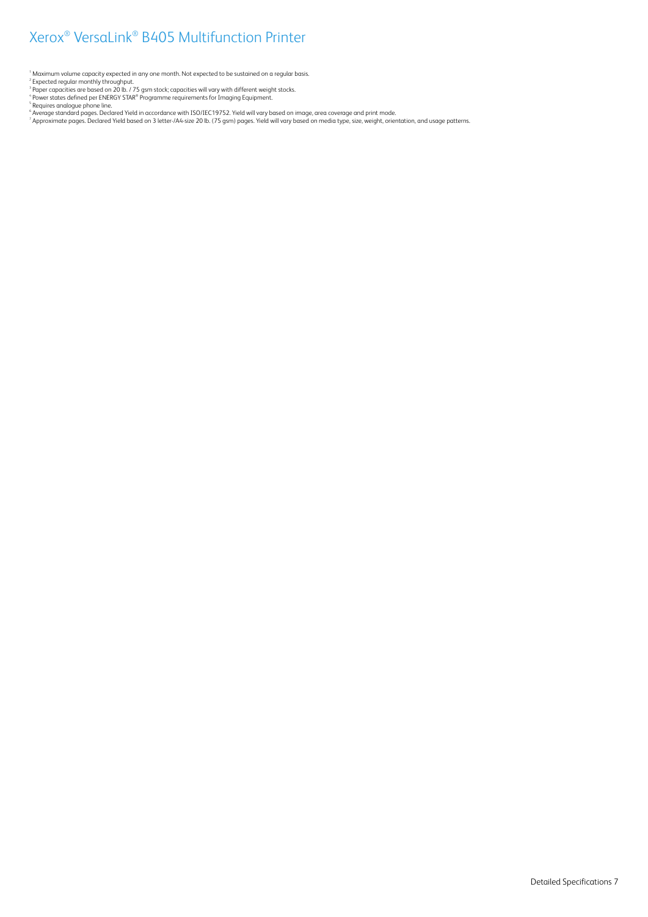<sup>1</sup> Maximum volume capacity expected in any one month. Not expected to be sustained on a regular basis.

- 
- 
- 

<sup>2</sup> Expected regular monthly throughput.<br><sup>3</sup> Paper capacities are based on 20 lb. / 75 gsm stock; capacities will vary with different weight stocks.<br><sup>4</sup> Requires analogue phone line.<br><sup>5</sup> Nequires analogue phone line.<br><sup>5</sup> A